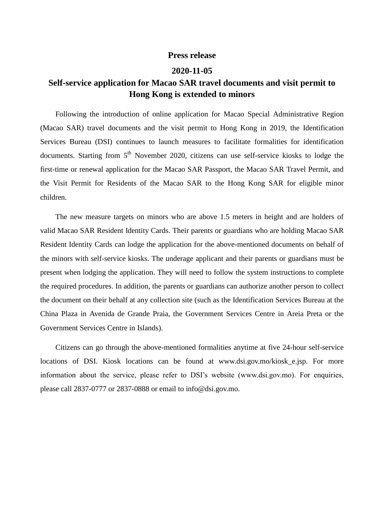## **Press release**

## **2020-11-05**

## **Self-service application for Macao SAR travel documents and visit permit to Hong Kong is extended to minors**

Following the introduction of online application for Macao Special Administrative Region (Macao SAR) travel documents and the visit permit to Hong Kong in 2019, the Identification Services Bureau (DSI) continues to launch measures to facilitate formalities for identification documents. Starting from  $5<sup>th</sup>$  November 2020, citizens can use self-service kiosks to lodge the first-time or renewal application for the Macao SAR Passport, the Macao SAR Travel Permit, and the Visit Permit for Residents of the Macao SAR to the Hong Kong SAR for eligible minor children.

The new measure targets on minors who are above 1.5 meters in height and are holders of valid Macao SAR Resident Identity Cards. Their parents or guardians who are holding Macao SAR Resident Identity Cards can lodge the application for the above-mentioned documents on behalf of the minors with self-service kiosks. The underage applicant and their parents or guardians must be present when lodging the application. They will need to follow the system instructions to complete the required procedures. In addition, the parents or guardians can authorize another person to collect the document on their behalf at any collection site (such as the Identification Services Bureau at the China Plaza in Avenida de Grande Praia, the Government Services Centre in Areia Preta or the Government Services Centre in Islands).

Citizens can go through the above-mentioned formalities anytime at five 24-hour self-service locations of DSI. Kiosk locations can be found at www.dsi.gov.mo/kiosk\_e.jsp. For more information about the service, please refer to DSI's website (www.dsi.gov.mo). For enquiries, please call 2837-0777 or 2837-0888 or email to info@dsi.gov.mo.